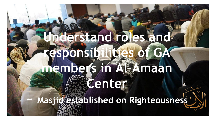# **Understand roles and responsibilities of GA members in Al-Amaan**  *Center*

**~ Masjid established on Righteousness**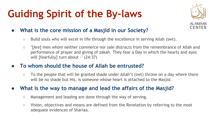# **Guiding Spirit of the By-laws**



### **● What is the core mission of a Masjid in our Society?**

- Build souls who will excel in life through the excellence in serving Allah (swt).
- "[Are] men whom neither commerce nor sale distracts from the remembrance of Allah and performance of prayer and giving of zakah. They fear a Day in which the hearts and eyes will [fearfully] turn about -" (24:37)

### **● To whom should the house of Allah be entrusted?**

○ To the people that will be granted shade under Allah's (swt) throne on a day where there will be no shade but His, is someone whose heart is attached to the Masjid.

### **● What is the way to manage and lead the affairs of the Masjid?**

- Management and leading are done through the way of serving.
- Vision, objectives and means are defined from the Revelation by referring to the most adequate evidences of Shariaa.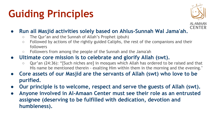# **Guiding Principles**



- **Run all Masjid activities solely based on Ahlus-Sunnah Wal Jama'ah.**
	- The Qur'an and the Sunnah of Allah's Prophet (pbuh)
	- Followed by actions of the rightly guided Caliphs, the rest of the companions and their followers
	- Followers from among the people of the Sunnah and the Jama'ah
- **● Ultimate core mission is to celebrate and glorify Allah (swt).**
	- Qur'an (24:36): "[Such niches are] in mosques which Allah has ordered to be raised and that His name be mentioned therein - exalting Him within them in the morning and the evening."
- **● Core assets of our Masjid are the servants of Allah (swt) who love to be purified.**
- **● Our principle is to welcome, respect and serve the guests of Allah (swt).**
- **● Anyone involved in Al-Amaan Center must see their role as an entrusted assignee (deserving to be fulfilled with dedication, devotion and humbleness).**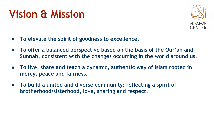## **Vision & Mission**



- **● To elevate the spirit of goodness to excellence.**
- **● To offer a balanced perspective based on the basis of the Qur'an and Sunnah, consistent with the changes occurring in the world around us.**
- **● To live, share and teach a dynamic, authentic way of Islam rooted in mercy, peace and fairness.**
- **● To build a united and diverse community; reflecting a spirit of brotherhood/sisterhood, love, sharing and respect.**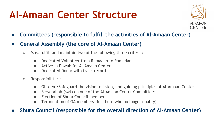## **Al-Amaan Center Structure**



- **● Committees (responsible to fulfill the activities of Al-Amaan Center)**
- **● General Assembly (the core of Al-Amaan Center)**
	- Must fulfill and maintain two of the following three criteria:
		- Dedicated Volunteer from Ramadan to Ramadan
		- Active in Dawah for Al-Amaan Center
		- Dedicated Donor with track record
	- Responsibilities:
		- Observe/Safeguard the vision, mission, and guiding principles of Al-Amaan Center
		- Serve Allah (swt) on one of the Al-Amaan Center Committees
		- Election of Shura Council members
		- Termination of GA members (for those who no longer qualify)

**● Shura Council (responsible for the overall direction of Al-Amaan Center)**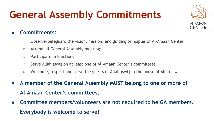# **General Assembly Commitments**



### **● Commitments:**

- Observe/Safeguard the vision, mission, and guiding principles of Al-Amaan Center
- Attend all General Assembly meetings
- Participate in Elections
- Serve Allah (swt) on at least one of Al-Amaan Center's committees
- Welcome, respect and serve the guests of Allah (swt) in the house of Allah (swt)
- **● A member of the General Assembly MUST belong to one or more of Al-Amaan Center's committees.**
- **● Committee members/volunteers are not required to be GA members. Everybody is welcome to serve!**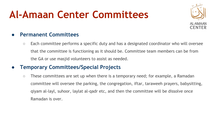## **Al-Amaan Center Committees**



### **● Permanent Committees**

○ Each committee performs a specific duty and has a designated coordinator who will oversee that the committee is functioning as it should be. Committee team members can be from the GA or use masjid volunteers to assist as needed.

### **● Temporary Committees/Special Projects**

○ These committees are set up when there is a temporary need; for example, a Ramadan committee will oversee the parking, the congregation, iftar, taraweeh prayers, babysitting, qiyam al-layl, suhoor, laylat al-qadr etc, and then the committee will be dissolve once Ramadan is over.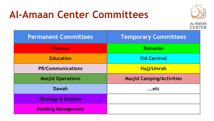### **Al-Amaan Center Committees**



| <b>Permanent Committees</b>   | <b>Temporary Committees</b>      |
|-------------------------------|----------------------------------|
| <b>Finance</b>                | Ramadan                          |
| <b>Education</b>              | <b>Eid Carnival</b>              |
| <b>PR/Communications</b>      | <b>Hajj/Umrah</b>                |
| <b>Masjid Operations</b>      | <b>Masjid Camping/Activities</b> |
| Dawah                         | $$ etc                           |
| <b>Strategy &amp; Outlook</b> |                                  |
| <b>Building Management</b>    |                                  |